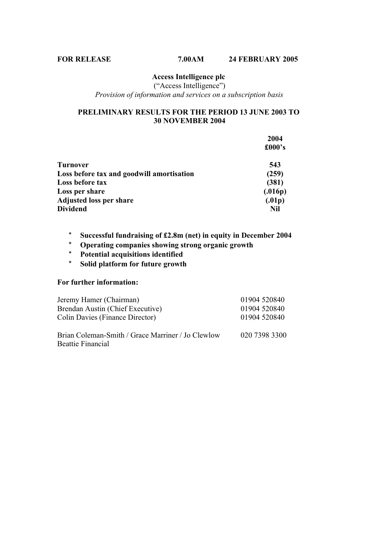("Access Intelligence") *Provision of information and services on a subscription basis*

#### **PRELIMINARY RESULTS FOR THE PERIOD 13 JUNE 2003 TO 30 NOVEMBER 2004**

|                                           | 2004    |
|-------------------------------------------|---------|
|                                           | £000's  |
| Turnover                                  | 543     |
| Loss before tax and goodwill amortisation | (259)   |
| Loss before tax                           | (381)   |
| Loss per share                            | (.016p) |
| <b>Adjusted loss per share</b>            | (.01p)  |
| <b>Dividend</b>                           | Nil     |

- \* **Successful fundraising of £2.8m (net) in equity in December 2004**
- \* **Operating companies showing strong organic growth**
- \* **Potential acquisitions identified**
- \* **Solid platform for future growth**

#### **For further information:**

| Jeremy Hamer (Chairman)                                                | 01904 520840  |
|------------------------------------------------------------------------|---------------|
| Brendan Austin (Chief Executive)                                       | 01904 520840  |
| Colin Davies (Finance Director)                                        | 01904 520840  |
| Brian Coleman-Smith / Grace Marriner / Jo Clewlow<br>Beattie Financial | 020 7398 3300 |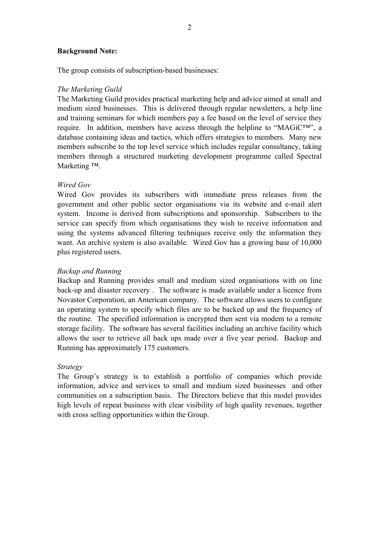#### **Background Note:**

The group consists of subscription-based businesses:

#### *The Marketing Guild*

The Marketing Guild provides practical marketing help and advice aimed at small and medium sized businesses. This is delivered through regular newsletters, a help line and training seminars for which members pay a fee based on the level of service they require. In addition, members have access through the helpline to "MAGiC™", a database containing ideas and tactics, which offers strategies to members. Many new members subscribe to the top level service which includes regular consultancy, taking members through a structured marketing development programme called Spectral Marketing ™.

#### *Wired Gov*

Wired Gov provides its subscribers with immediate press releases from the government and other public sector organisations via its website and e-mail alert system. Income is derived from subscriptions and sponsorship. Subscribers to the service can specify from which organisations they wish to receive information and using the systems advanced filtering techniques receive only the information they want. An archive system is also available. Wired Gov has a growing base of 10,000 plus registered users.

#### *Backup and Running*

Backup and Running provides small and medium sized organisations with on line back-up and disaster recovery . The software is made available under a licence from Novastor Corporation, an American company. The software allows users to configure an operating system to specify which files are to be backed up and the frequency of the routine. The specified information is encrypted then sent via modem to a remote storage facility. The software has several facilities including an archive facility which allows the user to retrieve all back ups made over a five year period. Backup and Running has approximately 175 customers.

#### *Strategy*

The Group's strategy is to establish a portfolio of companies which provide information, advice and services to small and medium sized businesses and other communities on a subscription basis. The Directors believe that this model provides high levels of repeat business with clear visibility of high quality revenues, together with cross selling opportunities within the Group.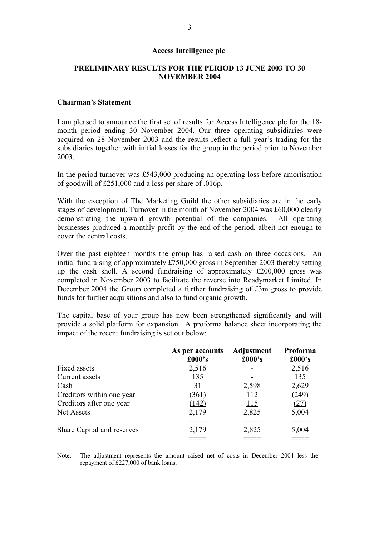#### **PRELIMINARY RESULTS FOR THE PERIOD 13 JUNE 2003 TO 30 NOVEMBER 2004**

#### **Chairman's Statement**

I am pleased to announce the first set of results for Access Intelligence plc for the 18 month period ending 30 November 2004. Our three operating subsidiaries were acquired on 28 November 2003 and the results reflect a full year's trading for the subsidiaries together with initial losses for the group in the period prior to November 2003.

In the period turnover was £543,000 producing an operating loss before amortisation of goodwill of £251,000 and a loss per share of .016p.

With the exception of The Marketing Guild the other subsidiaries are in the early stages of development. Turnover in the month of November 2004 was £60,000 clearly demonstrating the upward growth potential of the companies. All operating businesses produced a monthly profit by the end of the period, albeit not enough to cover the central costs.

Over the past eighteen months the group has raised cash on three occasions. An initial fundraising of approximately £750,000 gross in September 2003 thereby setting up the cash shell. A second fundraising of approximately £200,000 gross was completed in November 2003 to facilitate the reverse into Readymarket Limited. In December 2004 the Group completed a further fundraising of £3m gross to provide funds for further acquisitions and also to fund organic growth.

The capital base of your group has now been strengthened significantly and will provide a solid platform for expansion. A proforma balance sheet incorporating the impact of the recent fundraising is set out below:

|                            | As per accounts<br>£000's | Adjustment<br>£000's | Proforma<br>£000's |
|----------------------------|---------------------------|----------------------|--------------------|
| Fixed assets               | 2,516                     |                      | 2,516              |
| Current assets             | 135                       |                      | 135                |
| Cash                       | 31                        | 2,598                | 2,629              |
| Creditors within one year  | (361)                     | 112                  | (249)              |
| Creditors after one year   | (142)                     | <u> 115</u>          | (27)               |
| <b>Net Assets</b>          | 2,179                     | 2,825                | 5,004              |
|                            |                           |                      |                    |
| Share Capital and reserves | 2,179                     | 2,825                | 5,004              |
|                            |                           |                      |                    |

Note: The adjustment represents the amount raised net of costs in December 2004 less the repayment of £227,000 of bank loans.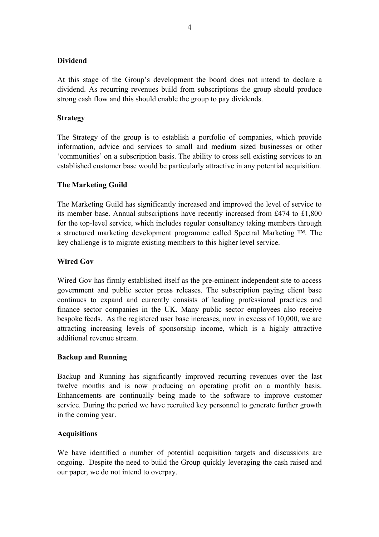#### **Dividend**

At this stage of the Group's development the board does not intend to declare a dividend. As recurring revenues build from subscriptions the group should produce strong cash flow and this should enable the group to pay dividends.

#### **Strategy**

The Strategy of the group is to establish a portfolio of companies, which provide information, advice and services to small and medium sized businesses or other 'communities' on a subscription basis. The ability to cross sell existing services to an established customer base would be particularly attractive in any potential acquisition.

#### **The Marketing Guild**

The Marketing Guild has significantly increased and improved the level of service to its member base. Annual subscriptions have recently increased from £474 to £1,800 for the top-level service, which includes regular consultancy taking members through a structured marketing development programme called Spectral Marketing ™. The key challenge is to migrate existing members to this higher level service.

#### **Wired Gov**

Wired Gov has firmly established itself as the pre-eminent independent site to access government and public sector press releases. The subscription paying client base continues to expand and currently consists of leading professional practices and finance sector companies in the UK. Many public sector employees also receive bespoke feeds. As the registered user base increases, now in excess of 10,000, we are attracting increasing levels of sponsorship income, which is a highly attractive additional revenue stream.

#### **Backup and Running**

Backup and Running has significantly improved recurring revenues over the last twelve months and is now producing an operating profit on a monthly basis. Enhancements are continually being made to the software to improve customer service. During the period we have recruited key personnel to generate further growth in the coming year.

#### **Acquisitions**

We have identified a number of potential acquisition targets and discussions are ongoing. Despite the need to build the Group quickly leveraging the cash raised and our paper, we do not intend to overpay.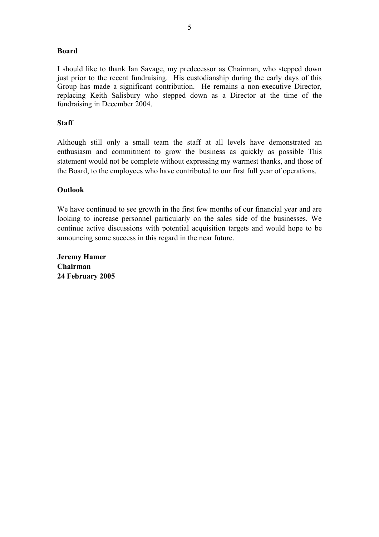#### **Board**

I should like to thank Ian Savage, my predecessor as Chairman, who stepped down just prior to the recent fundraising. His custodianship during the early days of this Group has made a significant contribution. He remains a non-executive Director, replacing Keith Salisbury who stepped down as a Director at the time of the fundraising in December 2004.

#### **Staff**

Although still only a small team the staff at all levels have demonstrated an enthusiasm and commitment to grow the business as quickly as possible This statement would not be complete without expressing my warmest thanks, and those of the Board, to the employees who have contributed to our first full year of operations.

#### **Outlook**

We have continued to see growth in the first few months of our financial year and are looking to increase personnel particularly on the sales side of the businesses. We continue active discussions with potential acquisition targets and would hope to be announcing some success in this regard in the near future.

**Jeremy Hamer Chairman 24 February 2005**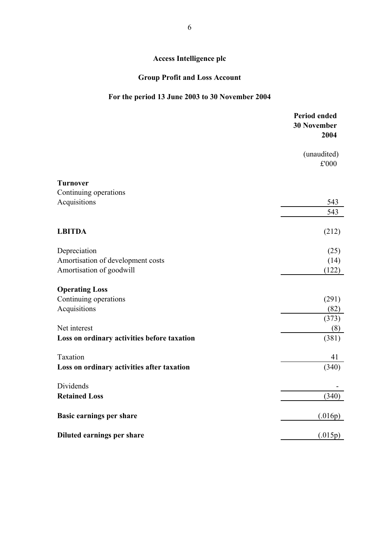## **Group Profit and Loss Account**

## **For the period 13 June 2003 to 30 November 2004**

|                                             | <b>Period ended</b><br><b>30 November</b><br>2004 |
|---------------------------------------------|---------------------------------------------------|
|                                             | (unaudited)<br>£'000                              |
| <b>Turnover</b>                             |                                                   |
| Continuing operations                       |                                                   |
| Acquisitions                                | 543                                               |
|                                             | 543                                               |
| <b>LBITDA</b>                               | (212)                                             |
| Depreciation                                | (25)                                              |
| Amortisation of development costs           | (14)                                              |
| Amortisation of goodwill                    | (122)                                             |
| <b>Operating Loss</b>                       |                                                   |
| Continuing operations                       | (291)                                             |
| Acquisitions                                | (82)                                              |
|                                             | (373)                                             |
| Net interest                                | (8)                                               |
| Loss on ordinary activities before taxation | (381)                                             |
| Taxation                                    | 41                                                |
| Loss on ordinary activities after taxation  | (340)                                             |
| Dividends                                   |                                                   |
| <b>Retained Loss</b>                        | (340)                                             |
| <b>Basic earnings per share</b>             | (.016p)                                           |
| Diluted earnings per share                  | (.015p)                                           |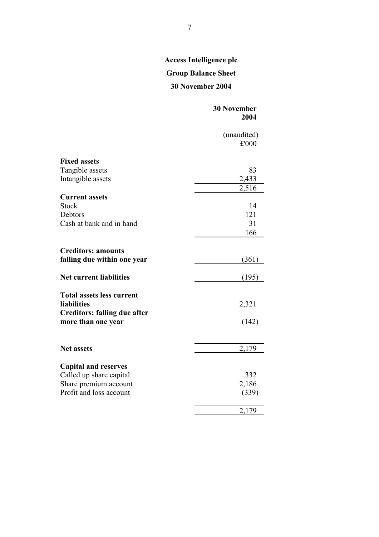## **Group Balance Sheet**

## **30 November 2004**

|                                                        | <b>30 November</b><br>2004 |
|--------------------------------------------------------|----------------------------|
|                                                        | (unaudited)<br>£'000       |
| <b>Fixed assets</b>                                    |                            |
| Tangible assets                                        | 83                         |
| Intangible assets                                      | 2,433                      |
|                                                        | 2,516                      |
| <b>Current assets</b>                                  |                            |
| <b>Stock</b>                                           | 14                         |
| Debtors                                                | 121                        |
| Cash at bank and in hand                               | 31                         |
|                                                        | 166                        |
|                                                        |                            |
| <b>Creditors: amounts</b>                              |                            |
| falling due within one year                            | (361)                      |
| <b>Net current liabilities</b>                         | (195)                      |
| <b>Total assets less current</b><br><b>liabilities</b> | 2,321                      |
| <b>Creditors: falling due after</b>                    |                            |
| more than one year                                     | (142)                      |
| <b>Net assets</b>                                      | 2,179                      |
|                                                        |                            |
| <b>Capital and reserves</b>                            |                            |
| Called up share capital                                | 332                        |
| Share premium account                                  | 2,186                      |
| Profit and loss account                                | (339)                      |
|                                                        |                            |
|                                                        | 2,179                      |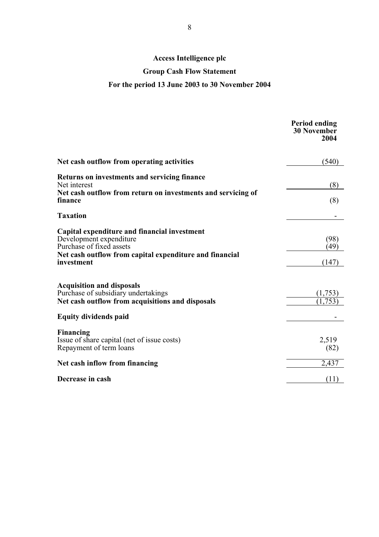## **Group Cash Flow Statement**

## **For the period 13 June 2003 to 30 November 2004**

|                                                                                                                                                                              | <b>Period ending</b><br><b>30 November</b><br>2004 |
|------------------------------------------------------------------------------------------------------------------------------------------------------------------------------|----------------------------------------------------|
| Net cash outflow from operating activities                                                                                                                                   | (540)                                              |
| Returns on investments and servicing finance<br>Net interest                                                                                                                 | (8)                                                |
| Net cash outflow from return on investments and servicing of<br>finance                                                                                                      | (8)                                                |
| <b>Taxation</b>                                                                                                                                                              |                                                    |
| Capital expenditure and financial investment<br>Development expenditure<br>Purchase of fixed assets<br>Net cash outflow from capital expenditure and financial<br>investment | (98)<br>(49)<br>(147)                              |
| <b>Acquisition and disposals</b><br>Purchase of subsidiary undertakings<br>Net cash outflow from acquisitions and disposals                                                  | (1.753)<br>,753                                    |
| <b>Equity dividends paid</b>                                                                                                                                                 |                                                    |
| Financing<br>Issue of share capital (net of issue costs)<br>Repayment of term loans                                                                                          | 2,519<br>(82)                                      |
| Net cash inflow from financing                                                                                                                                               | 2,437                                              |
| Decrease in cash                                                                                                                                                             | (11)                                               |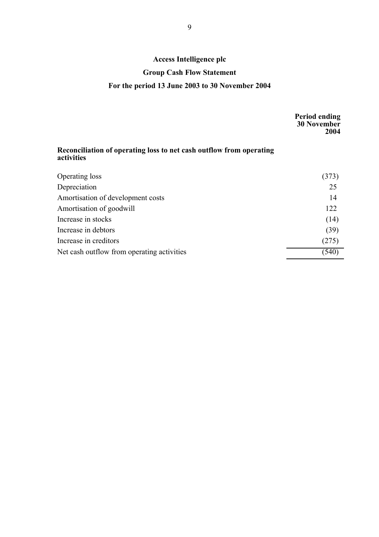#### **Group Cash Flow Statement**

## **For the period 13 June 2003 to 30 November 2004**

|                                                                                   | <b>Period ending</b><br><b>30 November</b><br>2004 |
|-----------------------------------------------------------------------------------|----------------------------------------------------|
| Reconciliation of operating loss to net cash outflow from operating<br>activities |                                                    |
| Operating loss                                                                    | (373)                                              |
| Depreciation                                                                      | 25                                                 |
| Amortisation of development costs                                                 | 14                                                 |
| Amortisation of goodwill                                                          | 122                                                |
| Increase in stocks                                                                | (14)                                               |
| Increase in debtors                                                               | (39)                                               |
| Increase in creditors                                                             | (275)                                              |
| Net cash outflow from operating activities                                        | (540                                               |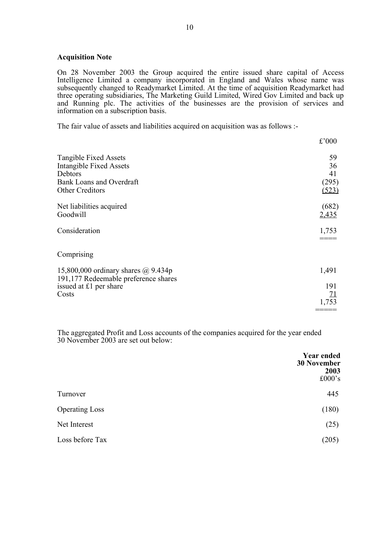#### **Acquisition Note**

On 28 November 2003 the Group acquired the entire issued share capital of Access Intelligence Limited a company incorporated in England and Wales whose name was subsequently changed to Readymarket Limited. At the time of acquisition Readymarket had three operating subsidiaries, The Marketing Guild Limited, Wired Gov Limited and back up and Running plc. The activities of the businesses are the provision of services and information on a subscription basis.

The fair value of assets and liabilities acquired on acquisition was as follows :-

|                                                                                                                                 | £'000                            |
|---------------------------------------------------------------------------------------------------------------------------------|----------------------------------|
| <b>Tangible Fixed Assets</b><br><b>Intangible Fixed Assets</b><br>Debtors<br><b>Bank Loans and Overdraft</b><br>Other Creditors | 59<br>36<br>41<br>(295)<br>(523) |
| Net liabilities acquired<br>Goodwill                                                                                            | (682)<br>2,435                   |
| Consideration                                                                                                                   | 1,753                            |
| Comprising                                                                                                                      |                                  |
| 15,800,000 ordinary shares $\omega$ 9.434p<br>191,177 Redeemable preference shares                                              | 1,491                            |
| issued at £1 per share<br>Costs                                                                                                 | 191<br><u>71</u>                 |
|                                                                                                                                 | 1,753                            |

The aggregated Profit and Loss accounts of the companies acquired for the year ended 30 November 2003 are set out below:

| <b>Year ended</b><br><b>30 November</b><br>2003<br>£000 $\degree$ s |
|---------------------------------------------------------------------|
| 445                                                                 |
| (180)                                                               |
| (25)                                                                |
| (205)                                                               |
|                                                                     |